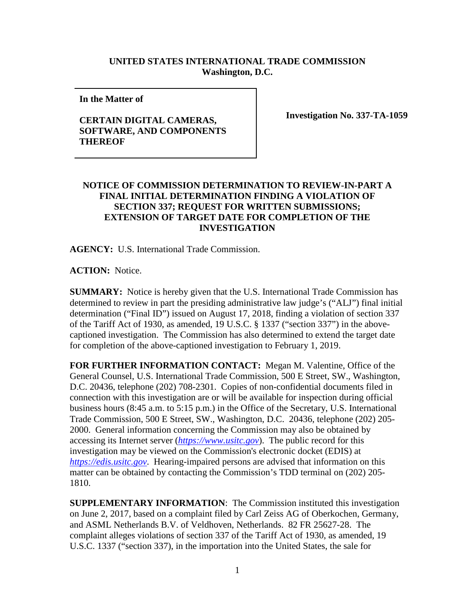## **UNITED STATES INTERNATIONAL TRADE COMMISSION Washington, D.C.**

**In the Matter of** 

## **CERTAIN DIGITAL CAMERAS, SOFTWARE, AND COMPONENTS THEREOF**

**Investigation No. 337-TA-1059**

## **NOTICE OF COMMISSION DETERMINATION TO REVIEW-IN-PART A FINAL INITIAL DETERMINATION FINDING A VIOLATION OF SECTION 337; REQUEST FOR WRITTEN SUBMISSIONS; EXTENSION OF TARGET DATE FOR COMPLETION OF THE INVESTIGATION**

**AGENCY:** U.S. International Trade Commission.

**ACTION:** Notice.

**SUMMARY:** Notice is hereby given that the U.S. International Trade Commission has determined to review in part the presiding administrative law judge's ("ALJ") final initial determination ("Final ID") issued on August 17, 2018, finding a violation of section 337 of the Tariff Act of 1930, as amended, 19 U.S.C. § 1337 ("section 337") in the abovecaptioned investigation. The Commission has also determined to extend the target date for completion of the above-captioned investigation to February 1, 2019.

**FOR FURTHER INFORMATION CONTACT:** Megan M. Valentine, Office of the General Counsel, U.S. International Trade Commission, 500 E Street, SW., Washington, D.C. 20436, telephone (202) 708-2301. Copies of non-confidential documents filed in connection with this investigation are or will be available for inspection during official business hours (8:45 a.m. to 5:15 p.m.) in the Office of the Secretary, U.S. International Trade Commission, 500 E Street, SW., Washington, D.C. 20436, telephone (202) 205- 2000. General information concerning the Commission may also be obtained by accessing its Internet server (*[https://www.usitc.gov](https://www.usitc.gov/)*). The public record for this investigation may be viewed on the Commission's electronic docket (EDIS) at *[https://edis.usitc.gov](https://edis.usitc.gov/)*. Hearing-impaired persons are advised that information on this matter can be obtained by contacting the Commission's TDD terminal on (202) 205- 1810.

**SUPPLEMENTARY INFORMATION**: The Commission instituted this investigation on June 2, 2017, based on a complaint filed by Carl Zeiss AG of Oberkochen, Germany, and ASML Netherlands B.V. of Veldhoven, Netherlands. 82 FR 25627-28. The complaint alleges violations of section 337 of the Tariff Act of 1930, as amended, 19 U.S.C. 1337 ("section 337), in the importation into the United States, the sale for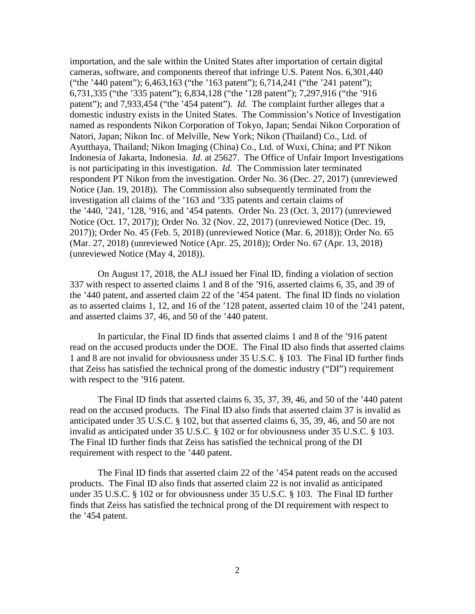importation, and the sale within the United States after importation of certain digital cameras, software, and components thereof that infringe U.S. Patent Nos. 6,301,440 ("the '440 patent"); 6,463,163 ("the '163 patent"); 6,714,241 ("the '241 patent"); 6,731,335 ("the '335 patent"); 6,834,128 ("the '128 patent"); 7,297,916 ("the '916 patent"); and 7,933,454 ("the '454 patent"). *Id.* The complaint further alleges that a domestic industry exists in the United States. The Commission's Notice of Investigation named as respondents Nikon Corporation of Tokyo, Japan; Sendai Nikon Corporation of Natori, Japan; Nikon Inc. of Melville, New York; Nikon (Thailand) Co., Ltd. of Ayutthaya, Thailand; Nikon Imaging (China) Co., Ltd. of Wuxi, China; and PT Nikon Indonesia of Jakarta, Indonesia. *Id.* at 25627. The Office of Unfair Import Investigations is not participating in this investigation. *Id.* The Commission later terminated respondent PT Nikon from the investigation. Order No. 36 (Dec. 27, 2017) (unreviewed Notice (Jan. 19, 2018)). The Commission also subsequently terminated from the investigation all claims of the '163 and '335 patents and certain claims of the '440, '241, '128, '916, and '454 patents. Order No. 23 (Oct. 3, 2017) (unreviewed Notice (Oct. 17, 2017)); Order No. 32 (Nov. 22, 2017) (unreviewed Notice (Dec. 19, 2017)); Order No. 45 (Feb. 5, 2018) (unreviewed Notice (Mar. 6, 2018)); Order No. 65 (Mar. 27, 2018) (unreviewed Notice (Apr. 25, 2018)); Order No. 67 (Apr. 13, 2018) (unreviewed Notice (May 4, 2018)).

On August 17, 2018, the ALJ issued her Final ID, finding a violation of section 337 with respect to asserted claims 1 and 8 of the '916, asserted claims 6, 35, and 39 of the '440 patent, and asserted claim 22 of the '454 patent. The final ID finds no violation as to asserted claims 1, 12, and 16 of the '128 patent, asserted claim 10 of the '241 patent, and asserted claims 37, 46, and 50 of the '440 patent.

In particular, the Final ID finds that asserted claims 1 and 8 of the '916 patent read on the accused products under the DOE. The Final ID also finds that asserted claims 1 and 8 are not invalid for obviousness under 35 U.S.C. § 103. The Final ID further finds that Zeiss has satisfied the technical prong of the domestic industry ("DI") requirement with respect to the '916 patent.

The Final ID finds that asserted claims 6, 35, 37, 39, 46, and 50 of the '440 patent read on the accused products. The Final ID also finds that asserted claim 37 is invalid as anticipated under 35 U.S.C. § 102, but that asserted claims 6, 35, 39, 46, and 50 are not invalid as anticipated under 35 U.S.C. § 102 or for obviousness under 35 U.S.C. § 103. The Final ID further finds that Zeiss has satisfied the technical prong of the DI requirement with respect to the '440 patent.

The Final ID finds that asserted claim 22 of the '454 patent reads on the accused products. The Final ID also finds that asserted claim 22 is not invalid as anticipated under 35 U.S.C. § 102 or for obviousness under 35 U.S.C. § 103. The Final ID further finds that Zeiss has satisfied the technical prong of the DI requirement with respect to the '454 patent.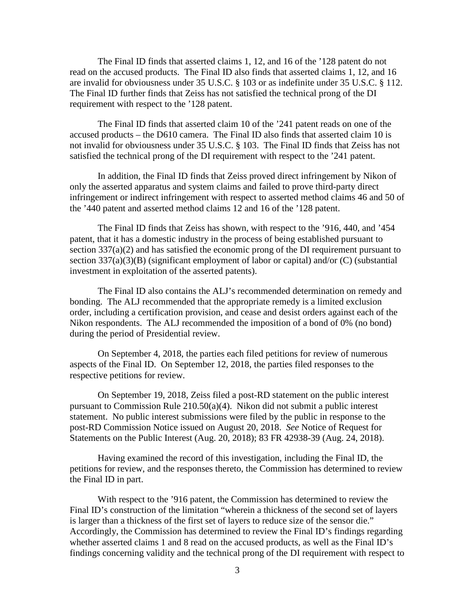The Final ID finds that asserted claims 1, 12, and 16 of the '128 patent do not read on the accused products. The Final ID also finds that asserted claims 1, 12, and 16 are invalid for obviousness under 35 U.S.C. § 103 or as indefinite under 35 U.S.C. § 112. The Final ID further finds that Zeiss has not satisfied the technical prong of the DI requirement with respect to the '128 patent.

The Final ID finds that asserted claim 10 of the '241 patent reads on one of the accused products – the D610 camera. The Final ID also finds that asserted claim 10 is not invalid for obviousness under 35 U.S.C. § 103. The Final ID finds that Zeiss has not satisfied the technical prong of the DI requirement with respect to the '241 patent.

In addition, the Final ID finds that Zeiss proved direct infringement by Nikon of only the asserted apparatus and system claims and failed to prove third-party direct infringement or indirect infringement with respect to asserted method claims 46 and 50 of the '440 patent and asserted method claims 12 and 16 of the '128 patent.

The Final ID finds that Zeiss has shown, with respect to the '916, 440, and '454 patent, that it has a domestic industry in the process of being established pursuant to section 337(a)(2) and has satisfied the economic prong of the DI requirement pursuant to section 337(a)(3)(B) (significant employment of labor or capital) and/or (C) (substantial investment in exploitation of the asserted patents).

The Final ID also contains the ALJ's recommended determination on remedy and bonding. The ALJ recommended that the appropriate remedy is a limited exclusion order, including a certification provision, and cease and desist orders against each of the Nikon respondents. The ALJ recommended the imposition of a bond of 0% (no bond) during the period of Presidential review.

On September 4, 2018, the parties each filed petitions for review of numerous aspects of the Final ID. On September 12, 2018, the parties filed responses to the respective petitions for review.

On September 19, 2018, Zeiss filed a post-RD statement on the public interest pursuant to Commission Rule 210.50(a)(4). Nikon did not submit a public interest statement. No public interest submissions were filed by the public in response to the post-RD Commission Notice issued on August 20, 2018. *See* Notice of Request for Statements on the Public Interest (Aug. 20, 2018); 83 FR 42938-39 (Aug. 24, 2018).

Having examined the record of this investigation, including the Final ID, the petitions for review, and the responses thereto, the Commission has determined to review the Final ID in part.

With respect to the '916 patent, the Commission has determined to review the Final ID's construction of the limitation "wherein a thickness of the second set of layers is larger than a thickness of the first set of layers to reduce size of the sensor die." Accordingly, the Commission has determined to review the Final ID's findings regarding whether asserted claims 1 and 8 read on the accused products, as well as the Final ID's findings concerning validity and the technical prong of the DI requirement with respect to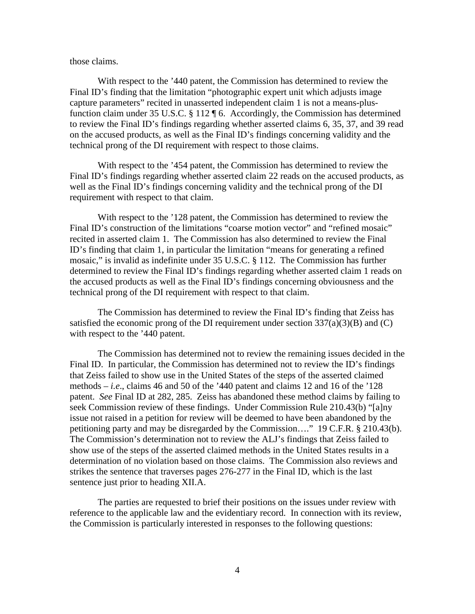## those claims.

With respect to the '440 patent, the Commission has determined to review the Final ID's finding that the limitation "photographic expert unit which adjusts image capture parameters" recited in unasserted independent claim 1 is not a means-plusfunction claim under 35 U.S.C. § 112 ¶ 6. Accordingly, the Commission has determined to review the Final ID's findings regarding whether asserted claims 6, 35, 37, and 39 read on the accused products, as well as the Final ID's findings concerning validity and the technical prong of the DI requirement with respect to those claims.

With respect to the '454 patent, the Commission has determined to review the Final ID's findings regarding whether asserted claim 22 reads on the accused products, as well as the Final ID's findings concerning validity and the technical prong of the DI requirement with respect to that claim.

With respect to the '128 patent, the Commission has determined to review the Final ID's construction of the limitations "coarse motion vector" and "refined mosaic" recited in asserted claim 1. The Commission has also determined to review the Final ID's finding that claim 1, in particular the limitation "means for generating a refined mosaic," is invalid as indefinite under 35 U.S.C. § 112. The Commission has further determined to review the Final ID's findings regarding whether asserted claim 1 reads on the accused products as well as the Final ID's findings concerning obviousness and the technical prong of the DI requirement with respect to that claim.

The Commission has determined to review the Final ID's finding that Zeiss has satisfied the economic prong of the DI requirement under section  $337(a)(3)(B)$  and (C) with respect to the '440 patent.

The Commission has determined not to review the remaining issues decided in the Final ID. In particular, the Commission has determined not to review the ID's findings that Zeiss failed to show use in the United States of the steps of the asserted claimed methods  $-i.e.,$  claims 46 and 50 of the '440 patent and claims 12 and 16 of the '128 patent. *See* Final ID at 282, 285. Zeiss has abandoned these method claims by failing to seek Commission review of these findings. Under Commission Rule 210.43(b) "[a]ny issue not raised in a petition for review will be deemed to have been abandoned by the petitioning party and may be disregarded by the Commission…." 19 C.F.R. § 210.43(b). The Commission's determination not to review the ALJ's findings that Zeiss failed to show use of the steps of the asserted claimed methods in the United States results in a determination of no violation based on those claims. The Commission also reviews and strikes the sentence that traverses pages 276-277 in the Final ID, which is the last sentence just prior to heading XII.A.

The parties are requested to brief their positions on the issues under review with reference to the applicable law and the evidentiary record. In connection with its review, the Commission is particularly interested in responses to the following questions: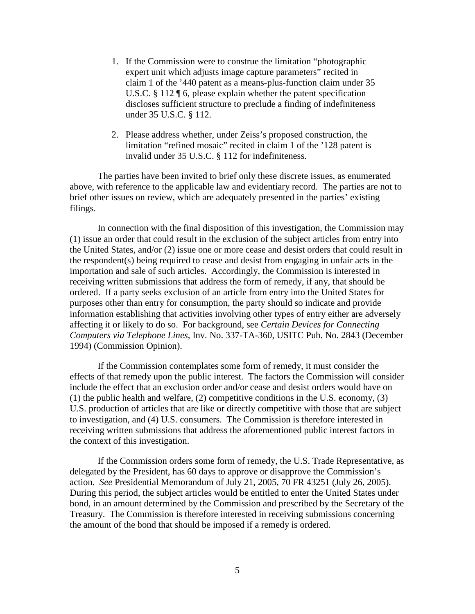- 1. If the Commission were to construe the limitation "photographic expert unit which adjusts image capture parameters" recited in claim 1 of the '440 patent as a means-plus-function claim under 35 U.S.C. § 112 ¶ 6, please explain whether the patent specification discloses sufficient structure to preclude a finding of indefiniteness under 35 U.S.C. § 112.
- 2. Please address whether, under Zeiss's proposed construction, the limitation "refined mosaic" recited in claim 1 of the '128 patent is invalid under 35 U.S.C. § 112 for indefiniteness.

The parties have been invited to brief only these discrete issues, as enumerated above, with reference to the applicable law and evidentiary record. The parties are not to brief other issues on review, which are adequately presented in the parties' existing filings.

In connection with the final disposition of this investigation, the Commission may (1) issue an order that could result in the exclusion of the subject articles from entry into the United States, and/or (2) issue one or more cease and desist orders that could result in the respondent(s) being required to cease and desist from engaging in unfair acts in the importation and sale of such articles. Accordingly, the Commission is interested in receiving written submissions that address the form of remedy, if any, that should be ordered. If a party seeks exclusion of an article from entry into the United States for purposes other than entry for consumption, the party should so indicate and provide information establishing that activities involving other types of entry either are adversely affecting it or likely to do so. For background, see *Certain Devices for Connecting Computers via Telephone Lines*, Inv. No. 337-TA-360, USITC Pub. No. 2843 (December 1994) (Commission Opinion).

If the Commission contemplates some form of remedy, it must consider the effects of that remedy upon the public interest. The factors the Commission will consider include the effect that an exclusion order and/or cease and desist orders would have on (1) the public health and welfare, (2) competitive conditions in the U.S. economy, (3) U.S. production of articles that are like or directly competitive with those that are subject to investigation, and (4) U.S. consumers. The Commission is therefore interested in receiving written submissions that address the aforementioned public interest factors in the context of this investigation.

If the Commission orders some form of remedy, the U.S. Trade Representative, as delegated by the President, has 60 days to approve or disapprove the Commission's action. *See* Presidential Memorandum of July 21, 2005, 70 FR 43251 (July 26, 2005). During this period, the subject articles would be entitled to enter the United States under bond, in an amount determined by the Commission and prescribed by the Secretary of the Treasury. The Commission is therefore interested in receiving submissions concerning the amount of the bond that should be imposed if a remedy is ordered.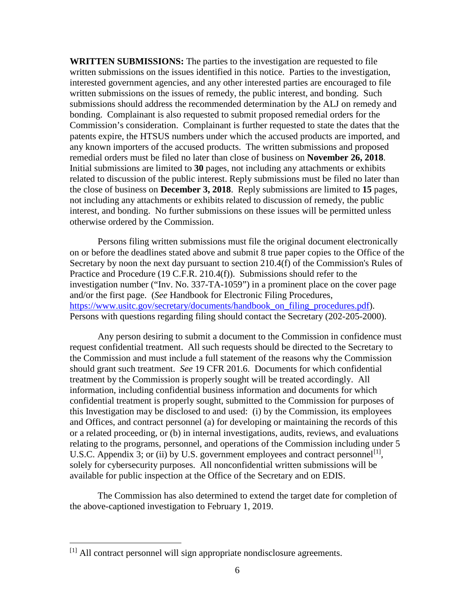**WRITTEN SUBMISSIONS:** The parties to the investigation are requested to file written submissions on the issues identified in this notice. Parties to the investigation, interested government agencies, and any other interested parties are encouraged to file written submissions on the issues of remedy, the public interest, and bonding. Such submissions should address the recommended determination by the ALJ on remedy and bonding. Complainant is also requested to submit proposed remedial orders for the Commission's consideration. Complainant is further requested to state the dates that the patents expire, the HTSUS numbers under which the accused products are imported, and any known importers of the accused products. The written submissions and proposed remedial orders must be filed no later than close of business on **November 26, 2018**. Initial submissions are limited to **30** pages, not including any attachments or exhibits related to discussion of the public interest. Reply submissions must be filed no later than the close of business on **December 3, 2018**. Reply submissions are limited to **15** pages, not including any attachments or exhibits related to discussion of remedy, the public interest, and bonding. No further submissions on these issues will be permitted unless otherwise ordered by the Commission.

Persons filing written submissions must file the original document electronically on or before the deadlines stated above and submit 8 true paper copies to the Office of the Secretary by noon the next day pursuant to section 210.4(f) of the Commission's Rules of Practice and Procedure (19 C.F.R. 210.4(f)). Submissions should refer to the investigation number ("Inv. No. 337-TA-1059") in a prominent place on the cover page and/or the first page. (*See* Handbook for Electronic Filing Procedures, [https://www.usitc.gov/secretary/documents/handbook\\_on\\_filing\\_procedures.pdf\)](https://www.usitc.gov/secretary/documents/handbook_on_filing_procedures.pdf). Persons with questions regarding filing should contact the Secretary (202-205-2000).

Any person desiring to submit a document to the Commission in confidence must request confidential treatment. All such requests should be directed to the Secretary to the Commission and must include a full statement of the reasons why the Commission should grant such treatment. *See* 19 CFR 201.6. Documents for which confidential treatment by the Commission is properly sought will be treated accordingly. All information, including confidential business information and documents for which confidential treatment is properly sought, submitted to the Commission for purposes of this Investigation may be disclosed to and used: (i) by the Commission, its employees and Offices, and contract personnel (a) for developing or maintaining the records of this or a related proceeding, or (b) in internal investigations, audits, reviews, and evaluations relating to the programs, personnel, and operations of the Commission including under 5 U.S.C. Appendix 3; or (ii) by U.S. government employees and contract personnel<sup>[\[1\]](#page-5-0)</sup>, solely for cybersecurity purposes. All nonconfidential written submissions will be available for public inspection at the Office of the Secretary and on EDIS.

The Commission has also determined to extend the target date for completion of the above-captioned investigation to February 1, 2019.

<span id="page-5-0"></span> <sup>[1]</sup> All contract personnel will sign appropriate nondisclosure agreements.